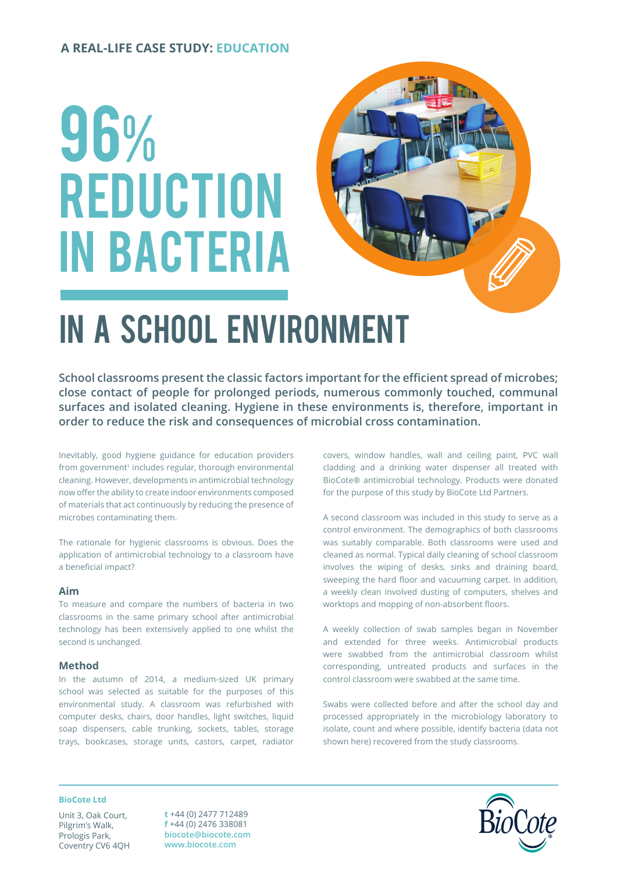### **A REAL-LIFE CASE STUDY: EDUCATION**

# 96% **REDUCTION** in bacteria



# in a School environment

**School classrooms present the classic factors important for the efficient spread of microbes; close contact of people for prolonged periods, numerous commonly touched, communal surfaces and isolated cleaning. Hygiene in these environments is, therefore, important in order to reduce the risk and consequences of microbial cross contamination.**

Inevitably, good hygiene guidance for education providers from government<sup>1</sup> includes regular, thorough environmental cleaning. However, developments in antimicrobial technology now offer the ability to create indoor environments composed of materials that act continuously by reducing the presence of microbes contaminating them.

The rationale for hygienic classrooms is obvious. Does the application of antimicrobial technology to a classroom have a beneficial impact?

#### **Aim**

To measure and compare the numbers of bacteria in two classrooms in the same primary school after antimicrobial technology has been extensively applied to one whilst the second is unchanged.

#### **Method**

In the autumn of 2014, a medium-sized UK primary school was selected as suitable for the purposes of this environmental study. A classroom was refurbished with computer desks, chairs, door handles, light switches, liquid soap dispensers, cable trunking, sockets, tables, storage trays, bookcases, storage units, castors, carpet, radiator

covers, window handles, wall and ceiling paint, PVC wall cladding and a drinking water dispenser all treated with BioCote® antimicrobial technology. Products were donated for the purpose of this study by BioCote Ltd Partners.

A second classroom was included in this study to serve as a control environment. The demographics of both classrooms was suitably comparable. Both classrooms were used and cleaned as normal. Typical daily cleaning of school classroom involves the wiping of desks, sinks and draining board, sweeping the hard floor and vacuuming carpet. In addition, a weekly clean involved dusting of computers, shelves and worktops and mopping of non-absorbent floors.

A weekly collection of swab samples began in November and extended for three weeks. Antimicrobial products were swabbed from the antimicrobial classroom whilst corresponding, untreated products and surfaces in the control classroom were swabbed at the same time.

Swabs were collected before and after the school day and processed appropriately in the microbiology laboratory to isolate, count and where possible, identify bacteria (data not shown here) recovered from the study classrooms.

#### **BioCote Ltd**

Unit 3, Oak Court, Pilgrim's Walk, Prologis Park, Coventry CV6 4QH

**t** +44 (0) 2477 712489 **f** +44 (0) 2476 338081 **biocote@biocote.com www.biocote.com**